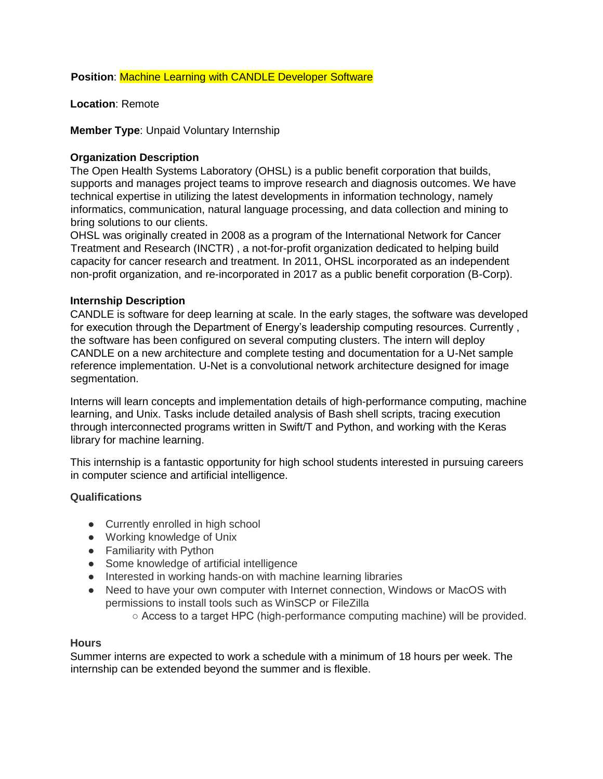**Position**: Machine Learning with CANDLE Developer Software

**Location**: Remote

**Member Type**: Unpaid Voluntary Internship

## **Organization Description**

The Open Health Systems Laboratory (OHSL) is a public benefit corporation that builds, supports and manages project teams to improve research and diagnosis outcomes. We have technical expertise in utilizing the latest developments in information technology, namely informatics, communication, natural language processing, and data collection and mining to bring solutions to our clients.

OHSL was originally created in 2008 as a program of the International Network for Cancer Treatment and Research (INCTR) , a not-for-profit organization dedicated to helping build capacity for cancer research and treatment. In 2011, OHSL incorporated as an independent non-profit organization, and re-incorporated in 2017 as a public benefit corporation (B-Corp).

## **Internship Description**

CANDLE is software for deep learning at scale. In the early stages, the software was developed for execution through the Department of Energy's leadership computing resources. Currently , the software has been configured on several computing clusters. The intern will deploy CANDLE on a new architecture and complete testing and documentation for a U-Net sample reference implementation. U-Net is a convolutional network architecture designed for image segmentation.

Interns will learn concepts and implementation details of high-performance computing, machine learning, and Unix. Tasks include detailed analysis of Bash shell scripts, tracing execution through interconnected programs written in Swift/T and Python, and working with the Keras library for machine learning.

This internship is a fantastic opportunity for high school students interested in pursuing careers in computer science and artificial intelligence.

## **Qualifications**

- Currently enrolled in high school
- Working knowledge of Unix
- Familiarity with Python
- Some knowledge of artificial intelligence
- Interested in working hands-on with machine learning libraries
- Need to have your own computer with Internet connection, Windows or MacOS with permissions to install tools such as WinSCP or FileZilla
	- Access to a target HPC (high-performance computing machine) will be provided.

### **Hours**

Summer interns are expected to work a schedule with a minimum of 18 hours per week. The internship can be extended beyond the summer and is flexible.